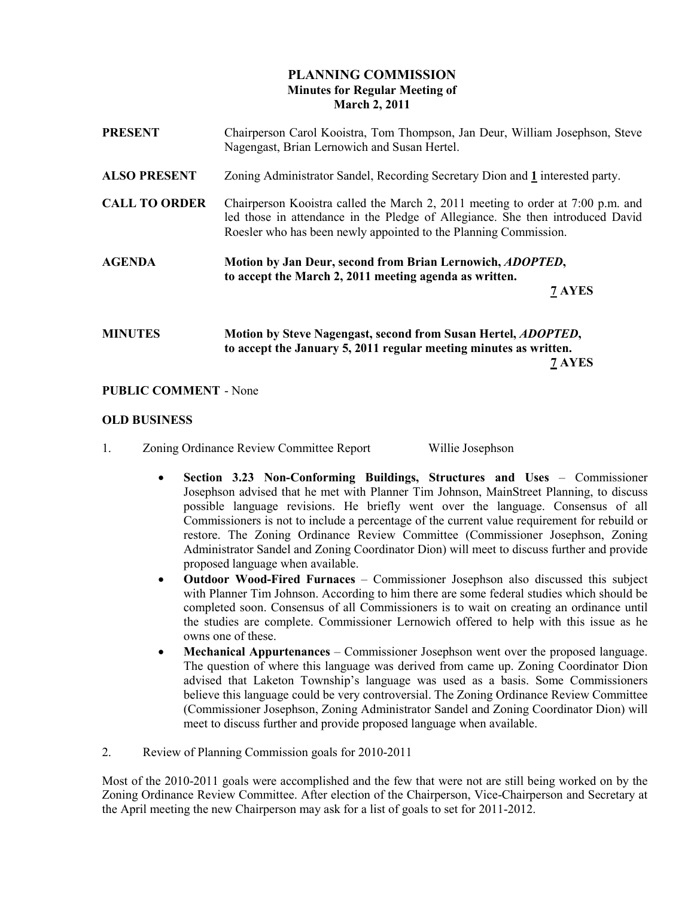# PLANNING COMMISSION Minutes for Regular Meeting of March 2, 2011

| <b>PRESENT</b>       | Chairperson Carol Kooistra, Tom Thompson, Jan Deur, William Josephson, Steve<br>Nagengast, Brian Lernowich and Susan Hertel.                                                                                                          |
|----------------------|---------------------------------------------------------------------------------------------------------------------------------------------------------------------------------------------------------------------------------------|
| <b>ALSO PRESENT</b>  | Zoning Administrator Sandel, Recording Secretary Dion and 1 interested party.                                                                                                                                                         |
| <b>CALL TO ORDER</b> | Chairperson Kooistra called the March 2, 2011 meeting to order at 7:00 p.m. and<br>led those in attendance in the Pledge of Allegiance. She then introduced David<br>Roesler who has been newly appointed to the Planning Commission. |
| <b>AGENDA</b>        | Motion by Jan Deur, second from Brian Lernowich, <i>ADOPTED</i> ,<br>to accept the March 2, 2011 meeting agenda as written.<br>7 AYES                                                                                                 |
| <b>MINUTES</b>       | Motion by Steve Nagengast, second from Susan Hertel, ADOPTED,<br>to accept the January 5, 2011 regular meeting minutes as written.                                                                                                    |

7 AYES

#### PUBLIC COMMENT - None

# OLD BUSINESS

- 1. Zoning Ordinance Review Committee Report Willie Josephson
	- Section 3.23 Non-Conforming Buildings, Structures and Uses Commissioner Josephson advised that he met with Planner Tim Johnson, MainStreet Planning, to discuss possible language revisions. He briefly went over the language. Consensus of all Commissioners is not to include a percentage of the current value requirement for rebuild or restore. The Zoning Ordinance Review Committee (Commissioner Josephson, Zoning Administrator Sandel and Zoning Coordinator Dion) will meet to discuss further and provide proposed language when available.
	- Outdoor Wood-Fired Furnaces Commissioner Josephson also discussed this subject with Planner Tim Johnson. According to him there are some federal studies which should be completed soon. Consensus of all Commissioners is to wait on creating an ordinance until the studies are complete. Commissioner Lernowich offered to help with this issue as he owns one of these.
	- Mechanical Appurtenances Commissioner Josephson went over the proposed language. The question of where this language was derived from came up. Zoning Coordinator Dion advised that Laketon Township's language was used as a basis. Some Commissioners believe this language could be very controversial. The Zoning Ordinance Review Committee (Commissioner Josephson, Zoning Administrator Sandel and Zoning Coordinator Dion) will meet to discuss further and provide proposed language when available.
- 2. Review of Planning Commission goals for 2010-2011

Most of the 2010-2011 goals were accomplished and the few that were not are still being worked on by the Zoning Ordinance Review Committee. After election of the Chairperson, Vice-Chairperson and Secretary at the April meeting the new Chairperson may ask for a list of goals to set for 2011-2012.